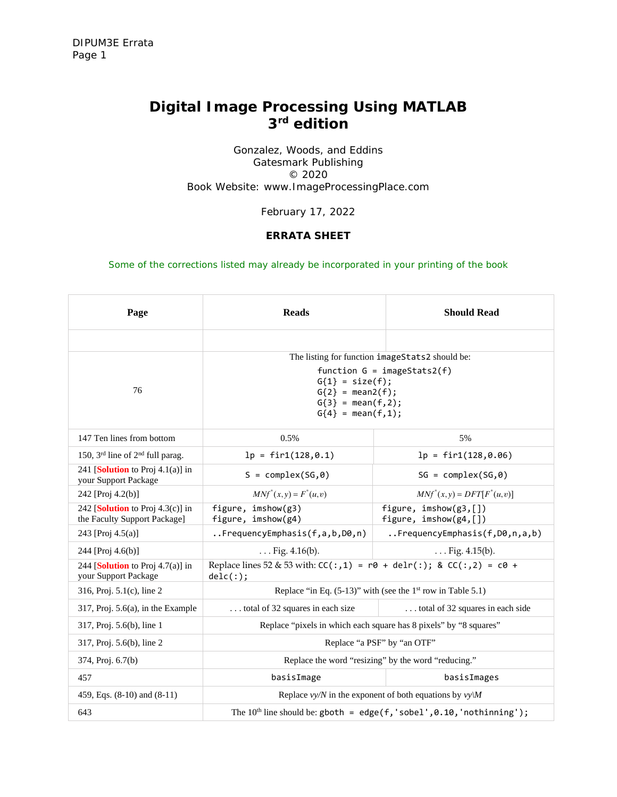# *Digital Image Processing Using MATLAB 3rd edition*

Gonzalez, Woods, and Eddins Gatesmark Publishing © 2020 Book Website: www.ImageProcessingPlace.com

February 17, 2022

## **ERRATA SHEET**

*Some of the corrections listed may already be incorporated in your printing of the book*

| Page                                                                        | <b>Reads</b>                                                                                                                                                                       | <b>Should Read</b>                                 |
|-----------------------------------------------------------------------------|------------------------------------------------------------------------------------------------------------------------------------------------------------------------------------|----------------------------------------------------|
|                                                                             |                                                                                                                                                                                    |                                                    |
| 76                                                                          | The listing for function imageStats2 should be:<br>function $G = \text{imageStats2}(f)$<br>$G{1} = size(f);$<br>$G{2} = mean2(f);$<br>$G(3) = mean(f, 2);$<br>$G{4} = mean(f, 1);$ |                                                    |
| 147 Ten lines from bottom                                                   | 0.5%                                                                                                                                                                               | 5%                                                 |
| 150, 3rd line of 2 <sup>nd</sup> full parag.                                | $lp = fir1(128, 0.1)$                                                                                                                                                              | $lp = fir1(128, 0.06)$                             |
| 241 [Solution to Proj $4.1(a)$ ] in<br>your Support Package                 | $S = complex(SG, \theta)$                                                                                                                                                          | $SG = complex(SG, \theta)$                         |
| 242 [Proj 4.2(b)]                                                           | $MNf^{*}(x, y) = F^{*}(u, v)$                                                                                                                                                      | $MNf^{*}(x, y) = DFT[F^{*}(u, v)]$                 |
| 242 [ <b>Solution</b> to Proj $4.3(c)$ ] in<br>the Faculty Support Package] | figure, imshow(g3)<br>figure, imshow(g4)                                                                                                                                           | figure, $imshow(g3, []$<br>figure, $imshow(g4, []$ |
| 243 [Proj 4.5(a)]                                                           | FrequencyEmphasis(f,a,b,D0,n)                                                                                                                                                      | FrequencyEmphasis(f,D0,n,a,b)                      |
| 244 [Proj 4.6(b)]                                                           | $\ldots$ Fig. 4.16(b).                                                                                                                                                             | $\ldots$ Fig. 4.15(b).                             |
| 244 [ <b>Solution</b> to Proj $4.7(a)$ ] in<br>your Support Package         | Replace lines 52 & 53 with: $CC(:, 1) = r0 + delr(:);$ & $CC(:, 2) = c0 +$<br>delc(:);                                                                                             |                                                    |
| 316, Proj. $5.1(c)$ , line 2                                                | Replace "in Eq. $(5-13)$ " with (see the 1 <sup>st</sup> row in Table 5.1)                                                                                                         |                                                    |
| $317$ , Proj. $5.6(a)$ , in the Example                                     | total of 32 squares in each size                                                                                                                                                   | total of 32 squares in each side                   |
| 317, Proj. 5.6(b), line 1                                                   | Replace "pixels in which each square has 8 pixels" by "8 squares"                                                                                                                  |                                                    |
| 317, Proj. 5.6(b), line 2                                                   | Replace "a PSF" by "an OTF"                                                                                                                                                        |                                                    |
| 374, Proj. 6.7(b)                                                           | Replace the word "resizing" by the word "reducing."                                                                                                                                |                                                    |
| 457                                                                         | basisImage                                                                                                                                                                         | basisImages                                        |
| 459, Eqs. $(8-10)$ and $(8-11)$                                             | Replace $vy/N$ in the exponent of both equations by $vy\$                                                                                                                          |                                                    |
| 643                                                                         | The $10th$ line should be: gboth = edge(f, 'sobel', $0.10$ , 'nothinning');                                                                                                        |                                                    |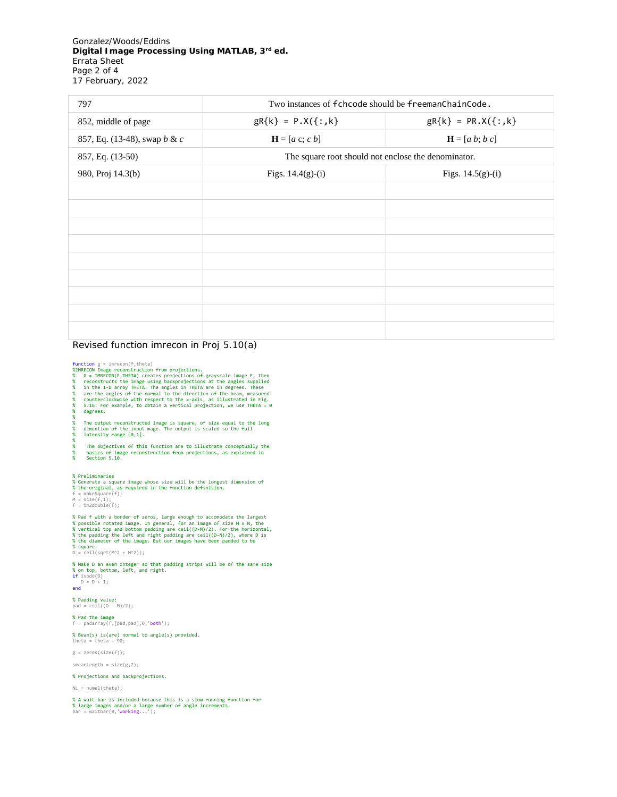Gonzalez/Woods/Eddins *Digital Image Processing Using MATLAB, 3rd ed.* Errata Sheet Page 2 of 4 17 February, 2022

| 797                          | Two instances of fchcode should be freemanChainCode. |                      |
|------------------------------|------------------------------------------------------|----------------------|
| 852, middle of page          | $gR{k} = P.X({:,k})$                                 | $gR{k} = PR.X({};k)$ |
| 857, Eq. (13-48), swap b & c | $\mathbf{H} = [a \ c; c \ b]$                        | $H = [a b; b c]$     |
| 857, Eq. (13-50)             | The square root should not enclose the denominator.  |                      |
| 980, Proj 14.3(b)            | Figs. $14.4(g)-(i)$                                  | Figs. $14.5(g)-(i)$  |
|                              |                                                      |                      |
|                              |                                                      |                      |
|                              |                                                      |                      |
|                              |                                                      |                      |
|                              |                                                      |                      |
|                              |                                                      |                      |
|                              |                                                      |                      |
|                              |                                                      |                      |
|                              |                                                      |                      |

## Revised function imrecon in Proj 5.10(a)

- function g = imrecon(f,theta)<br>%XMRECON Image reconstruction from projections.<br>%XMRECON Image reconstruction from projections of grayscale image F, then<br>% oconstructs the image using backprojections at the angles supplied<br>%
- 

degrees.

% % The output reconstructed image is square, of size equal to the long % dimention of the input mage. The output is scaled so the full % intensity range [0,1].

% % The objectives of this function are to illustrate conceptually the % basics of image reconstruction from projections, as explained in % Section 5.10.

#### % Preliminaries

% Generate a square image whose size will be the longest dimension of<br>% the original, as required in the function definition.<br>f = makeSquare(f);<br>M = sin2double(f);

- 
- 

% Pad f with a border of zeros, large enough to accomodate the largest<br>% possible rotated image. In general, for an image of size M x N, the<br>% vertical top and bottom padding are ceil((D-M)/2). For the horizontal,<br>% the pa

% square. D = ceil(sqrt(M^2 + M^2));

% Make D an even integer so that padding strips will be of the same size<br>% on top, bottom, left, and right.<br>if isodd(D)<br>D = D + 1;<br>end<br>end

% Padding value: pad = ceil((D - M)/2);

% Pad the image f = padarray(f,[pad,pad],0,'both');

% Beam(s) is(are) normal to angle(s) provided. theta = theta + 90;

g = zeros(size(f));

smearLength = size(g,2);

#### % Projections and backprojections.

NL = numel(theta);

% A wait bar is included because this is a slow-running function for<br>% large images and/or a large number of angle increments.<br>bar = waitbar(0,'Working...');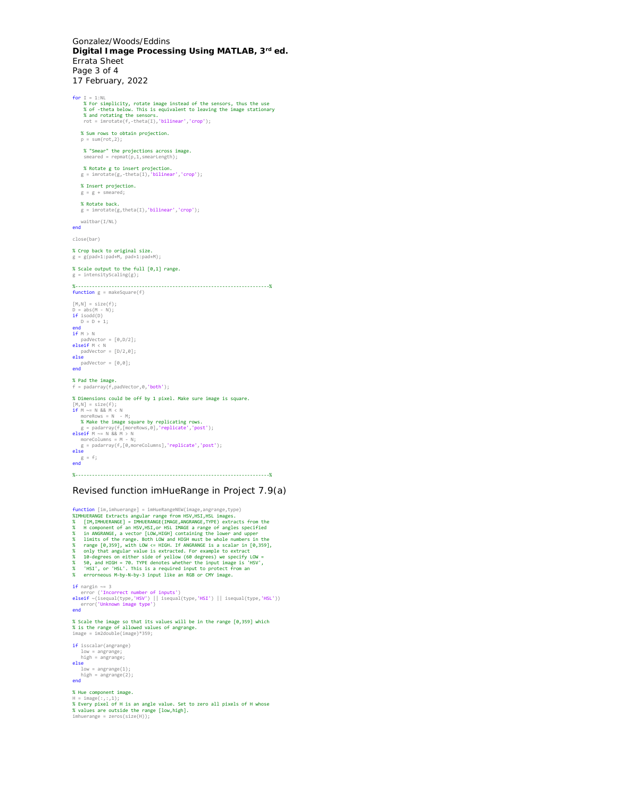Gonzalez/Woods/Eddins *Digital Image Processing Using MATLAB, 3rd ed.* Errata Sheet Page 3 of 4 17 February, 2022

for I = 1:NL<br>% for simplicity, rotate image instead of the sensors, thus the use<br>% of -theta below. This is equivalent to leaving the image stationary<br>% and rotating the sensors.<br>rot = imrotate(f,-theta(I),'bilinear','cro % Sum rows to obtain projection.  $p = sum(root, 2);$  % "Smear" the projections across image. smeared = repmat(p,1,smearLength); % Rotate g to insert projection. g = imrotate(g,-theta(I),'bilinear','crop'); % Insert projection.  $g = g + s$  meared: % Rotate back. g = imrotate(g,theta(I),'bilinear','crop'); waitbar(I/NL) end close(bar) % Crop back to original size. g = g(pad+1:pad+M, pad+1:pad+M); % Scale output to the full [0,1] range.  $g =$  intensityScaling(g); %----------------------------------------------------------------------% function g = makeSquare(f)  $[M,N] = size(f)$ ; D = abs(M - N); if isodd(D) D = D + 1; end if M > N padVector = [0,D/2];<br>
elseif M < N<br>
padVector = [D/2,0];<br>
else<br>
padVector = [0,0];<br>
end % Pad the image.  $f = \frac{1}{100} \int_{0}^{1} f(x) \cdot \frac{1}{100} \cdot \frac{1}{100} \cdot \frac{1}{100} \cdot \frac{1}{100} \cdot \frac{1}{100} \cdot \frac{1}{100} \cdot \frac{1}{100} \cdot \frac{1}{100} \cdot \frac{1}{100} \cdot \frac{1}{100} \cdot \frac{1}{100} \cdot \frac{1}{100} \cdot \frac{1}{100} \cdot \frac{1}{100} \cdot \frac{1}{100} \cdot \frac{1}{100} \cdot \frac{1}{100} \cdot \frac{1}{100}$ % Dimensions could be off by 1 pixel. Make sure image is square.  $[M,N] = size(f);$ <br>if  $M \sim = N$  &&  $M < N$ moreRows = N - M;<br>
% Make the image square by replicating rows.<br>
g = padarray(f,[moreRows,0],'replicate','post');<br>
elseif M ~= N && M > N<br>
moreColumns = M - N;  $g =$  padarray(f,[0,moreColumns],'replicate','post');<br>else else g = f; end %----------------------------------------------------------------------%

## Revised function imHueRange in Project 7.9(a)

Function [im,imhuerange] = imHueRangeNEW(image,angrange,type)<br>KXMHUERANGE Extracts angular range from HSV,HSI,HSI images.<br>XXMHUERANGE] = IMHUERANGE[IMAGE,ANGRANGE,TYPE) extracts from the<br>XXM H component of an HSV,HSI,por H if nargin ~= 3 error ('Incorrect number of inputs') elseif ~(isequal(type,'HSV') || isequal(type,'HSI') || isequal(type,'HSL')) error('Unknown image type') end % Scale the image so that its values will be in the range [0,359] which % is the range of allowed values of angrange. image = im2double(image)\*359; if isscalar(angrange) low = angrange; high = angrange; else<br>
low = angrange(1);<br>
high = angrange(2);<br>
end % Hue component image. H = image(:,:,1); % Every pixel of H is an angle value. Set to zero all pixels of H whose % values are outside the range [low,high]. imhuerange = zeros(size(H));